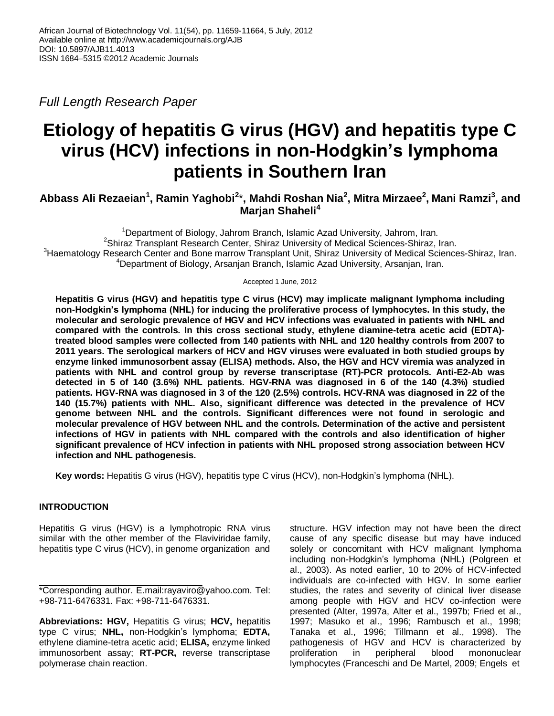*Full Length Research Paper*

# **Etiology of hepatitis G virus (HGV) and hepatitis type C virus (HCV) infections in non-Hodgkin's lymphoma patients in Southern Iran**

**Abbass Ali Rezaeian<sup>1</sup> , Ramin Yaghobi<sup>2</sup>** \***, Mahdi Roshan Nia<sup>2</sup> , Mitra Mirzaee<sup>2</sup> , Mani Ramzi<sup>3</sup> , and Marjan Shaheli<sup>4</sup>**

<sup>1</sup>Department of Biology, Jahrom Branch, Islamic Azad University, Jahrom, Iran. <sup>2</sup>Shiraz Transplant Research Center, Shiraz University of Medical Sciences-Shiraz, Iran.  $3$ Haematology Research Center and Bone marrow Transplant Unit, Shiraz University of Medical Sciences-Shiraz, Iran. <sup>4</sup>Department of Biology, Arsanjan Branch, Islamic Azad University, Arsanjan, Iran.

Accepted 1 June, 2012

**Hepatitis G virus (HGV) and hepatitis type C virus (HCV) may implicate malignant lymphoma including non-Hodgkin's lymphoma (NHL) for inducing the proliferative process of lymphocytes. In this study, the molecular and serologic prevalence of HGV and HCV infections was evaluated in patients with NHL and compared with the controls. In this cross sectional study, ethylene diamine-tetra acetic acid (EDTA) treated blood samples were collected from 140 patients with NHL and 120 healthy controls from 2007 to 2011 years. The serological markers of HCV and HGV viruses were evaluated in both studied groups by enzyme linked immunosorbent assay (ELISA) methods. Also, the HGV and HCV viremia was analyzed in patients with NHL and control group by reverse transcriptase (RT)-PCR protocols. Anti-E2-Ab was detected in 5 of 140 (3.6%) NHL patients. HGV-RNA was diagnosed in 6 of the 140 (4.3%) studied patients. HGV-RNA was diagnosed in 3 of the 120 (2.5%) controls. HCV-RNA was diagnosed in 22 of the 140 (15.7%) patients with NHL. Also, significant difference was detected in the prevalence of HCV genome between NHL and the controls. Significant differences were not found in serologic and molecular prevalence of HGV between NHL and the controls. Determination of the active and persistent infections of HGV in patients with NHL compared with the controls and also identification of higher significant prevalence of HCV infection in patients with NHL proposed strong association between HCV infection and NHL pathogenesis.** 

**Key words:** Hepatitis G virus (HGV), hepatitis type C virus (HCV), non-Hodgkin's lymphoma (NHL).

# **INTRODUCTION**

Hepatitis G virus (HGV) is a lymphotropic RNA virus similar with the other member of the Flaviviridae family, hepatitis type C virus (HCV), in genome organization and

\*Corresponding author. E.mail:rayaviro@yahoo.com. Tel: +98-711-6476331. Fax: +98-711-6476331.

**Abbreviations: HGV,** Hepatitis G virus; **HCV,** hepatitis type C virus; **NHL,** non-Hodgkin's lymphoma; **EDTA,** ethylene diamine-tetra acetic acid; **ELISA,** enzyme linked immunosorbent assay; **RT-PCR,** reverse transcriptase polymerase chain reaction.

structure. HGV infection may not have been the direct cause of any specific disease but may have induced solely or concomitant with HCV malignant lymphoma including non-Hodgkin's lymphoma (NHL) (Polgreen et al., 2003). As noted earlier, 10 to 20% of HCV-infected individuals are co-infected with HGV. In some earlier studies, the rates and severity of clinical liver disease among people with HGV and HCV co-infection were presented (Alter, 1997a, Alter et al., 1997b; Fried et al., 1997; Masuko et al., 1996; Rambusch et al., 1998; Tanaka et al., 1996; Tillmann et al., 1998). The pathogenesis of HGV and HCV is characterized by proliferation in peripheral blood mononuclear lymphocytes (Franceschi and De Martel, 2009; Engels et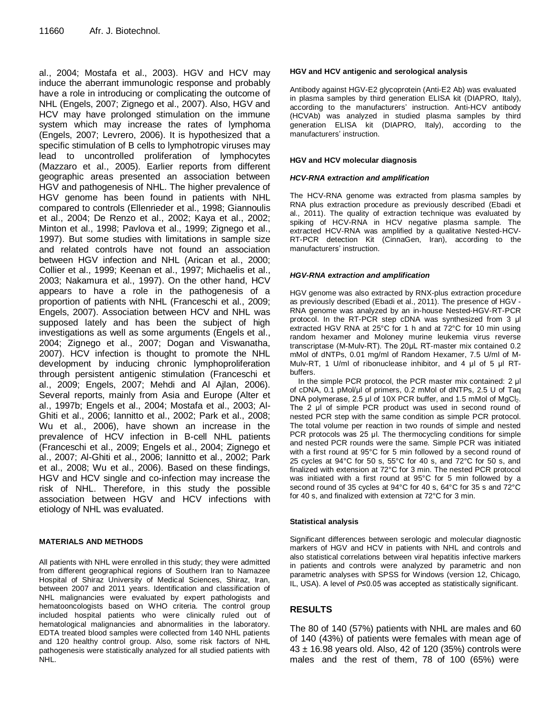al., 2004; Mostafa et al., 2003). HGV and HCV may induce the aberrant immunologic response and probably have a role in introducing or complicating the outcome of NHL (Engels, 2007; Zignego et al., 2007). Also, HGV and HCV may have prolonged stimulation on the immune system which may increase the rates of lymphoma (Engels, 2007; Levrero, 2006). It is hypothesized that a specific stimulation of B cells to lymphotropic viruses may lead to uncontrolled proliferation of lymphocytes (Mazzaro et al., 2005). Earlier reports from different geographic areas presented an association between HGV and pathogenesis of NHL. The higher prevalence of HGV genome has been found in patients with NHL compared to controls (Ellenrieder et al., 1998; Giannoulis et al., 2004; De Renzo et al., 2002; Kaya et al., 2002; Minton et al., 1998; Pavlova et al., 1999; Zignego et al., 1997). But some studies with limitations in sample size and related controls have not found an association between HGV infection and NHL (Arican et al., 2000; Collier et al., 1999; Keenan et al., 1997; Michaelis et al., 2003; Nakamura et al., 1997). On the other hand, HCV appears to have a role in the pathogenesis of a proportion of patients with NHL (Franceschi et al., 2009; Engels, 2007). Association between HCV and NHL was supposed lately and has been the subject of high investigations as well as some arguments (Engels et al., 2004; Zignego et al., 2007; Dogan and Viswanatha, 2007). HCV infection is thought to promote the NHL development by inducing chronic lymphoproliferation through persistent antigenic stimulation (Franceschi et al., 2009; Engels, 2007; Mehdi and Al Ajlan, 2006). Several reports, mainly from Asia and Europe (Alter et al., 1997b; Engels et al., 2004; Mostafa et al., 2003; Al-Ghiti et al., 2006; Iannitto et al., 2002; Park et al., 2008; Wu et al., 2006), have shown an increase in the prevalence of HCV infection in B-cell NHL patients (Franceschi et al., 2009; Engels et al., 2004; Zignego et al., 2007; Al-Ghiti et al., 2006; Iannitto et al., 2002; Park et al., 2008; Wu et al., 2006). Based on these findings, HGV and HCV single and co-infection may increase the risk of NHL. Therefore, in this study the possible association between HGV and HCV infections with etiology of NHL was evaluated.

## **MATERIALS AND METHODS**

All patients with NHL were enrolled in this study; they were admitted from different geographical regions of Southern Iran to Namazee Hospital of Shiraz University of Medical Sciences, Shiraz, Iran, between 2007 and 2011 years. Identification and classification of NHL malignancies were evaluated by expert pathologists and hematooncologists based on WHO criteria. The control group included hospital patients who were clinically ruled out of hematological malignancies and abnormalities in the laboratory. EDTA treated blood samples were collected from 140 NHL patients and 120 healthy control group. Also, some risk factors of NHL pathogenesis were statistically analyzed for all studied patients with NHL.

## **HGV and HCV antigenic and serological analysis**

Antibody against HGV-E2 glycoprotein (Anti-E2 Ab) was evaluated in plasma samples by third generation ELISA kit (DIAPRO, Italy), according to the manufacturers' instruction. Anti-HCV antibody (HCVAb) was analyzed in studied plasma samples by third generation ELISA kit (DIAPRO, Italy), according to the manufacturers' instruction.

## **HGV and HCV molecular diagnosis**

## *HCV-RNA extraction and amplification*

The HCV-RNA genome was extracted from plasma samples by RNA plus extraction procedure as previously described (Ebadi et al., 2011). The quality of extraction technique was evaluated by spiking of HCV-RNA in HCV negative plasma sample. The extracted HCV-RNA was amplified by a qualitative Nested-HCV-RT-PCR detection Kit (CinnaGen, Iran), according to the manufacturers' instruction.

## *HGV-RNA extraction and amplification*

HGV genome was also extracted by RNX-plus extraction procedure as previously described (Ebadi et al., 2011). The presence of HGV - RNA genome was analyzed by an in-house Nested-HGV-RT-PCR protocol. In the RT-PCR step cDNA was synthesized from 3 μl extracted HGV RNA at 25°C for 1 h and at 72°C for 10 min using random hexamer and Moloney murine leukemia virus reverse transcriptase (M-Mulv-RT). The 20μL RT-master mix contained 0.2 mMol of dNTPs, 0.01 mg/ml of Random Hexamer, 7.5 U/ml of M-Mulv-RT, 1 U/ml of ribonuclease inhibitor, and 4 μl of 5 μl RTbuffers.

In the simple PCR protocol, the PCR master mix contained: 2 μl of cDNA, 0.1 pMol/μl of primers, 0.2 mMol of dNTPs, 2.5 U of Taq DNA polymerase, 2.5 μl of 10X PCR buffer, and 1.5 mMol of MgCl<sub>2</sub>. The 2 μl of simple PCR product was used in second round of nested PCR step with the same condition as simple PCR protocol. The total volume per reaction in two rounds of simple and nested PCR protocols was 25 μl. The thermocycling conditions for simple and nested PCR rounds were the same. Simple PCR was initiated with a first round at 95°C for 5 min followed by a second round of 25 cycles at 94°C for 50 s, 55°C for 40 s, and 72°C for 50 s, and finalized with extension at 72°C for 3 min. The nested PCR protocol was initiated with a first round at 95°C for 5 min followed by a second round of 35 cycles at 94°C for 40 s, 64°C for 35 s and 72°C for 40 s, and finalized with extension at 72°C for 3 min.

#### **Statistical analysis**

Significant differences between serologic and molecular diagnostic markers of HGV and HCV in patients with NHL and controls and also statistical correlations between viral hepatitis infective markers in patients and controls were analyzed by parametric and non parametric analyses with SPSS for Windows (version 12, Chicago, IL, USA). A level of *P*≤0.05 was accepted as statistically significant.

## **RESULTS**

The 80 of 140 (57%) patients with NHL are males and 60 of 140 (43%) of patients were females with mean age of  $43 \pm 16.98$  years old. Also, 42 of 120 (35%) controls were males and the rest of them, 78 of 100 (65%) were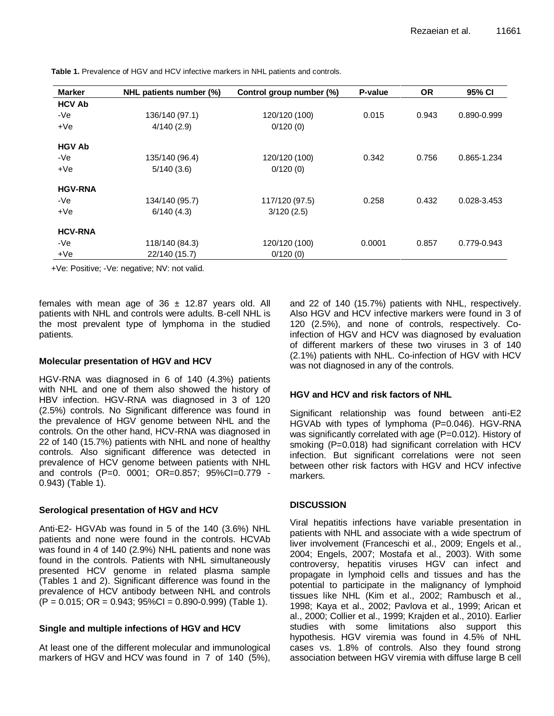| <b>Marker</b>  | NHL patients number (%) | Control group number (%) | P-value | <b>OR</b> | 95% CI      |  |
|----------------|-------------------------|--------------------------|---------|-----------|-------------|--|
| <b>HCV Ab</b>  |                         |                          |         |           |             |  |
| $-Ve$          | 136/140 (97.1)          | 120/120 (100)            | 0.015   | 0.943     | 0.890-0.999 |  |
| $+Ve$          | 4/140(2.9)              | 0/120(0)                 |         |           |             |  |
| <b>HGV Ab</b>  |                         |                          |         |           |             |  |
| $-Ve$          | 135/140 (96.4)          | 120/120 (100)            | 0.342   | 0.756     | 0.865-1.234 |  |
| $+Ve$          | 5/140(3.6)              | 0/120(0)                 |         |           |             |  |
| <b>HGV-RNA</b> |                         |                          |         |           |             |  |
| -Ve            | 134/140 (95.7)          | 117/120 (97.5)           | 0.258   | 0.432     | 0.028-3.453 |  |
| $+Ve$          | 6/140(4.3)              | 3/120(2.5)               |         |           |             |  |
| <b>HCV-RNA</b> |                         |                          |         |           |             |  |
| -Ve            | 118/140 (84.3)          | 120/120 (100)            | 0.0001  | 0.857     | 0.779-0.943 |  |
| $+Ve$          | 22/140 (15.7)           | 0/120(0)                 |         |           |             |  |

**Table 1.** Prevalence of HGV and HCV infective markers in NHL patients and controls.

+Ve: Positive; -Ve: negative; NV: not valid.

females with mean age of  $36 \pm 12.87$  years old. All patients with NHL and controls were adults. B-cell NHL is the most prevalent type of lymphoma in the studied patients.

## **Molecular presentation of HGV and HCV**

HGV-RNA was diagnosed in 6 of 140 (4.3%) patients with NHL and one of them also showed the history of HBV infection. HGV-RNA was diagnosed in 3 of 120 (2.5%) controls. No Significant difference was found in the prevalence of HGV genome between NHL and the controls. On the other hand, HCV-RNA was diagnosed in 22 of 140 (15.7%) patients with NHL and none of healthy controls. Also significant difference was detected in prevalence of HCV genome between patients with NHL and controls (P=0. 0001; OR=0.857; 95%CI=0.779 - 0.943) (Table 1).

## **Serological presentation of HGV and HCV**

Anti-E2- HGVAb was found in 5 of the 140 (3.6%) NHL patients and none were found in the controls. HCVAb was found in 4 of 140 (2.9%) NHL patients and none was found in the controls. Patients with NHL simultaneously presented HCV genome in related plasma sample (Tables 1 and 2). Significant difference was found in the prevalence of HCV antibody between NHL and controls  $(P = 0.015; OR = 0.943; 95\% CI = 0.890-0.999)$  (Table 1).

# **Single and multiple infections of HGV and HCV**

At least one of the different molecular and immunological markers of HGV and HCV was found in 7 of 140 (5%), and 22 of 140 (15.7%) patients with NHL, respectively. Also HGV and HCV infective markers were found in 3 of 120 (2.5%), and none of controls, respectively. Coinfection of HGV and HCV was diagnosed by evaluation of different markers of these two viruses in 3 of 140 (2.1%) patients with NHL. Co-infection of HGV with HCV was not diagnosed in any of the controls.

## **HGV and HCV and risk factors of NHL**

Significant relationship was found between anti-E2 HGVAb with types of lymphoma (P=0.046). HGV-RNA was significantly correlated with age (P=0.012). History of smoking (P=0.018) had significant correlation with HCV infection. But significant correlations were not seen between other risk factors with HGV and HCV infective markers.

# **DISCUSSION**

Viral hepatitis infections have variable presentation in patients with NHL and associate with a wide spectrum of liver involvement (Franceschi et al., 2009; Engels et al., 2004; Engels, 2007; Mostafa et al., 2003). With some controversy, hepatitis viruses HGV can infect and propagate in lymphoid cells and tissues and has the potential to participate in the malignancy of lymphoid tissues like NHL (Kim et al., 2002; Rambusch et al., 1998; Kaya et al., 2002; Pavlova et al., 1999; Arican et al., 2000; Collier et al., 1999; Krajden et al., 2010). Earlier studies with some limitations also support this hypothesis. HGV viremia was found in 4.5% of NHL cases vs. 1.8% of controls. Also they found strong association between HGV viremia with diffuse large B cell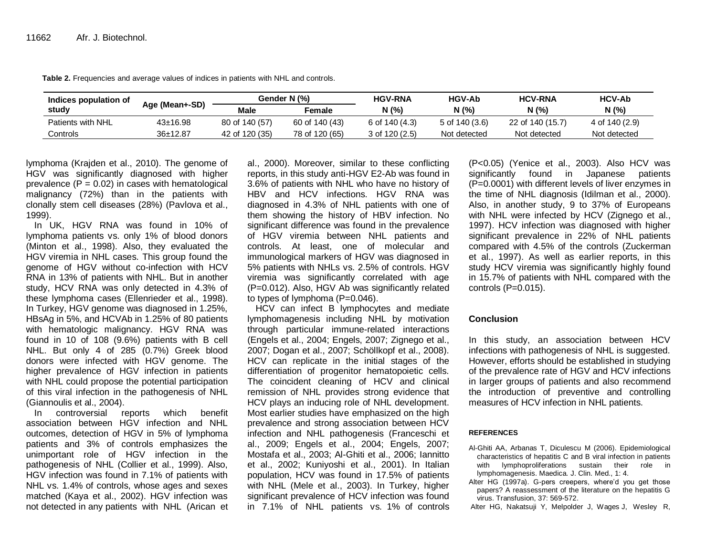| Indices population of | Age (Mean+-SD) | Gender N (%)   |                | <b>HGV-RNA</b>     | <b>HGV-Ab</b>  | <b>HCV-RNA</b>   | <b>HCV-Ab</b>  |
|-----------------------|----------------|----------------|----------------|--------------------|----------------|------------------|----------------|
| study                 |                | <b>Male</b>    | Female         | N (%)              | N(%            | N (%)            | N (%)          |
| Patients with NHL     | $43 \pm 16.98$ | 80 of 140 (57) | 60 of 140 (43) | 6 of 140 (4.3)     | 5 of 140 (3.6) | 22 of 140 (15.7) | 4 of 140 (2.9) |
| Controls              | 36±12.87       | 42 of 120 (35) | 78 of 120 (65) | $3$ of 120 $(2.5)$ | Not detected   | Not detected     | Not detected   |

**Table 2.** Frequencies and average values of indices in patients with NHL and controls.

lymphoma (Krajden et al., 2010). The genome of HGV was significantly diagnosed with higher prevalence  $(P = 0.02)$  in cases with hematological malignancy (72%) than in the patients with clonally stem cell diseases (28%) (Pavlova et al., 1999).

In UK, HGV RNA was found in 10% of lymphoma patients vs. only 1% of blood donors (Minton et al., 1998). Also, they evaluated the HGV viremia in NHL cases. This group found the genome of HGV without co-infection with HCV RNA in 13% of patients with NHL. But in another study, HCV RNA was only detected in 4.3% of these lymphoma cases (Ellenrieder et al., 1998). In Turkey, HGV genome was diagnosed in 1.25%, HBsAg in 5%, and HCVAb in 1.25% of 80 patients with hematologic malignancy. HGV RNA was found in 10 of 108 (9.6%) patients with B cell NHL. But only 4 of 285 (0.7%) Greek blood donors were infected with HGV genome. The higher prevalence of HGV infection in patients with NHL could propose the potential participation of this viral infection in the pathogenesis of NHL (Giannoulis et al., 2004).

In controversial reports which benefit association between HGV infection and NHL outcomes, detection of HGV in 5% of lymphoma patients and 3% of controls emphasizes the unimportant role of HGV infection in the pathogenesis of NHL (Collier et al., 1999). Also, HGV infection was found in 7.1% of patients with NHL vs. 1.4% of controls, whose ages and sexes matched (Kaya et al., 2002). HGV infection was not detected in any patients with NHL (Arican et

al., 2000). Moreover, similar to these conflicting reports, in this study anti-HGV E2-Ab was found in 3.6% of patients with NHL who have no history of HBV and HCV infections. HGV RNA was diagnosed in 4.3% of NHL patients with one of them showing the history of HBV infection. No significant difference was found in the prevalence of HGV viremia between NHL patients and controls. At least, one of molecular and immunological markers of HGV was diagnosed in 5% patients with NHLs vs. 2.5% of controls. HGV viremia was significantly correlated with age (P=0.012). Also, HGV Ab was significantly related to types of lymphoma (P=0.046).

HCV can infect B lymphocytes and mediate lymphomagenesis including NHL by motivation through particular immune-related interactions (Engels et al., 2004; Engels, 2007; Zignego et al., 2007; Dogan et al., 2007; Schöllkopf et al., 2008). HCV can replicate in the initial stages of the differentiation of progenitor hematopoietic cells. The coincident cleaning of HCV and clinical remission of NHL provides strong evidence that HCV plays an inducing role of NHL development. Most earlier studies have emphasized on the high prevalence and strong association between HCV infection and NHL pathogenesis (Franceschi et al., 2009; Engels et al., 2004; Engels, 2007; Mostafa et al., 2003; Al-Ghiti et al., 2006; Iannitto et al., 2002; Kuniyoshi et al., 2001). In Italian population, HCV was found in 17.5% of patients with NHL (Mele et al., 2003). In Turkey, higher significant prevalence of HCV infection was found in 7.1% of NHL patients vs. 1% of controls

(P<0.05) (Yenice et al., 2003). Also HCV was significantly found in Japanese patients (P=0.0001) with different levels of liver enzymes in the time of NHL diagnosis (Idilman et al., 2000). Also, in another study, 9 to 37% of Europeans with NHL were infected by HCV (Zignego et al., 1997). HCV infection was diagnosed with higher significant prevalence in 22% of NHL patients compared with 4.5% of the controls (Zuckerman et al., 1997). As well as earlier reports, in this study HCV viremia was significantly highly found in 15.7% of patients with NHL compared with the controls (P=0.015).

#### **Conclusion**

In this study, an association between HCV infections with pathogenesis of NHL is suggested. However, efforts should be established in studying of the prevalence rate of HGV and HCV infections in larger groups of patients and also recommend the introduction of preventive and controlling measures of HCV infection in NHL patients.

#### **REFERENCES**

- Al-Ghiti AA, Arbanas T, Diculescu M (2006). Epidemiological characteristics of hepatitis C and B viral infection in patients with lymphoproliferations sustain their role in lymphomagenesis. Maedica. J. Clin. Med., 1: 4.
- Alter HG (1997a). G-pers creepers, where'd you get those papers? A reassessment of the literature on the hepatitis G virus. Transfusion, 37: 569-572.
- Alter HG, Nakatsuji Y, Melpolder J, Wages J, Wesley R,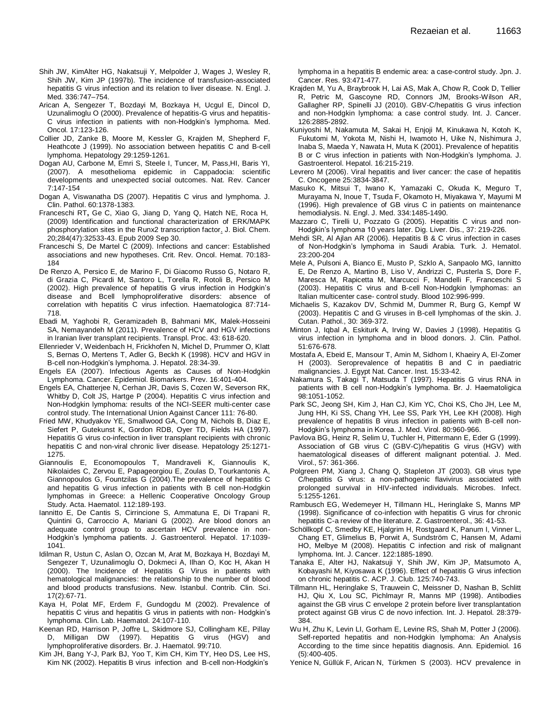- Shih JW, KimAlter HG, Nakatsuji Y, Melpolder J, [Wages J,](http://www.ncbi.nlm.nih.gov/pubmed?term=%22Wages%20J%22%5BAuthor%5D) [Wesley](http://www.ncbi.nlm.nih.gov/pubmed?term=%22Wesley%20R%22%5BAuthor%5D) R, [Shih JW,](http://www.ncbi.nlm.nih.gov/pubmed?term=%22Shih%20JW%22%5BAuthor%5D) Kim JP (1997b). The incidence of transfusion-associated hepatitis G virus infection and its relation to liver disease. N. Engl. J. Med. 336:747–754.
- Arican A, Sengezer T, Bozdayi M, Bozkaya H, Ucgul E, Dincol D, Uzunalimoglu O (2000). Prevalence of hepatitis-G virus and hepatitis-C virus infection in patients with non-Hodgkin's lymphoma. Med. Oncol. 17:123-126.
- Collier JD, Zanke B, Moore M, Kessler G, Krajden M, Shepherd F, Heathcote J (1999). No association between hepatitis C and B-cell lymphoma. Hepatology 29:1259-1261.
- Dogan AU, Carbone M, Emri S, Steele I, Tuncer, M, Pass,HI, Baris YI, (2007). A mesothelioma epidemic in Cappadocia: scientific developments and unexpected social outcomes. Nat. Rev. Cancer 7:147-154
- Dogan A, Viswanatha DS (2007). Hepatitis C virus and lymphoma. J. Clin. Pathol. 60:1378-1383.
- Franceschi RT**,** Ge C, Xiao G, Jiang D, Yang Q, Hatch NE, Roca H, (2009) [Identification and functional characterization of ERK/MAPK](http://www.ncbi.nlm.nih.gov/pubmed/19801668)  [phosphorylation sites in the Runx2 transcription factor.](http://www.ncbi.nlm.nih.gov/pubmed/19801668) J. Biol. Chem. 20;284(47):32533-43. Epub 2009 Sep 30.
- Franceschi S, De Martel C (2009). Infections and cancer: Established associations and new hypotheses. Crit. Rev. Oncol. Hemat. 70:183- 184
- De Renzo A, Persico E, de Marino F, Di Giacomo Russo G, Notaro R, di Grazia C, Picardi M, Santoro L, Torella R, Rotoli B, Persico M (2002). High prevalence of hepatitis G virus infection in Hodgkin's disease and Bcell lymphoproliferative disorders: absence of correlation with hepatitis C virus infection. Haematologica 87:714- 718.
- Ebadi M, Yaghobi R, Geramizadeh B, Bahmani MK, Malek-Hosseini SA, Nemayandeh M (2011). Prevalence of HCV and HGV infections in Iranian liver transplant recipients. Transpl. Proc. 43: 618-620.
- Ellenrieder V, Weidenbach H, Frickhofen N, Michel D, Prummer O, Klatt S, Bernas O, Mertens T, Adler G, Beckh K (1998). HCV and HGV in B-cell non-Hodgkin's lymphoma. J. Hepatol. 28:34-39.
- Engels EA (2007). Infectious Agents as Causes of Non-Hodgkin Lymphoma. Cancer. Epidemiol. Biomarkers. Prev. 16:401-404.
- Engels EA, Chatterjee N, Cerhan JR, Davis S, Cozen W, Severson RK, [Whitby D,](http://www.ncbi.nlm.nih.gov/pubmed?term=%22Whitby%20D%22%5BAuthor%5D) [Colt JS,](http://www.ncbi.nlm.nih.gov/pubmed?term=%22Colt%20JS%22%5BAuthor%5D) [Hartge P](http://www.ncbi.nlm.nih.gov/pubmed?term=%22Hartge%20P%22%5BAuthor%5D) (2004). Hepatitis C virus infection and Non-Hodgkin lymphoma: results of the NCI-SEER multi-center case control study. The International Union Against Cancer 111: 76-80.
- Fried MW, Khudyakov YE, Smallwood GA, [Cong](http://www.ncbi.nlm.nih.gov/pubmed?term=%22Cong%20M%22%5BAuthor%5D) M, [Nichols B,](http://www.ncbi.nlm.nih.gov/pubmed?term=%22Nichols%20B%22%5BAuthor%5D) [Diaz E,](http://www.ncbi.nlm.nih.gov/pubmed?term=%22Diaz%20E%22%5BAuthor%5D) [Siefert P,](http://www.ncbi.nlm.nih.gov/pubmed?term=%22Siefert%20P%22%5BAuthor%5D) [Gutekunst K,](http://www.ncbi.nlm.nih.gov/pubmed?term=%22Gutekunst%20K%22%5BAuthor%5D) [Gordon RDB, Oyer TD,](http://www.ncbi.nlm.nih.gov/pubmed?term=%22Gordon%20RD%22%5BAuthor%5D) [Fields HA](http://www.ncbi.nlm.nih.gov/pubmed?term=%22Fields%20HA%22%5BAuthor%5D) (1997). Hepatitis G virus co-infection in liver transplant recipients with chronic hepatitis C and non-viral chronic liver disease. Hepatology 25:1271- 1275.
- Giannoulis E, Economopoulos T, Mandraveli K, Giannoulis K, Nikolaides C, Zervou E, Papageorgiou E, Zoulas D, Tourkantonis A, Giannopoulos G, Fountzilas G (2004).The prevalence of hepatitis C and hepatitis G virus infection in patients with B cell non-Hodgkin lymphomas in Greece: a Hellenic Cooperative Oncology Group Study. Acta. Haematol. 112:189-193.
- Iannitto E, De Cantis S, Cirrincione S, Ammatuna E, Di Trapani R, Quintini G, Carroccio A, Mariani G (2002). Are blood donors an adequate control group to ascertain HCV prevalence in non-Hodgkin's lymphoma patients. J. Gastroenterol. Hepatol. 17:1039- 1041.
- Idilman R, Ustun C, Aslan O, Ozcan M, Arat M, Bozkaya H, Bozdayi M, Sengezer T, Uzunalimoglu O, Dokmeci A, Ilhan O, Koc H, Akan H (2000). The Incidence of Hepatitis G Virus in patients with hematological malignancies: the relationship to the number of blood and blood products transfusions. New. Istanbul. Contrib. Clin. Sci. 17(2):67-71.
- Kaya H, Polat MF, Erdem F, Gundogdu M (2002). Prevalence of hepatitis C virus and hepatitis G virus in patients with non- Hodgkin's lymphoma. Clin. Lab. Haematol. 24:107-110.
- Keenan RD, Harrison P, Joffre L, Skidmore SJ, Collingham KE, Pillay D, Milligan DW (1997). Hepatitis G virus (HGV) and lymphoproliferative disorders. Br. J. Haematol. 99:710.
- Kim JH, Bang Y-J, Park BJ, Yoo T, Kim CH, Kim TY, [Heo DS,](http://www.ncbi.nlm.nih.gov/pubmed?term=%22Heo%20DS%22%5BAuthor%5D) [Lee HS,](http://www.ncbi.nlm.nih.gov/pubmed?term=%22Lee%20HS%22%5BAuthor%5D)  [Kim NK](http://www.ncbi.nlm.nih.gov/pubmed?term=%22Kim%20NK%22%5BAuthor%5D) (2002). Hepatitis B virus infection and B-cell non-Hodgkin's

lymphoma in a hepatitis B endemic area: a case-control study. Jpn. J. Cancer. Res. 93:471-477.

- Krajden M, Yu A, Braybrook H, Lai AS, Mak A, Chow R, Cook D, Tellier R, Petric M, Gascoyne RD, Connors JM, Brooks-Wilson AR, Gallagher RP, Spinelli JJ (2010). GBV-C/hepatitis G virus infection and non-Hodgkin lymphoma: a case control study. Int. J. Cancer. 126:2885-2892.
- Kuniyoshi M, Nakamuta M, Sakai H, [Enjoji M,](http://www.ncbi.nlm.nih.gov/pubmed?term=%22Enjoji%20M%22%5BAuthor%5D) [Kinukawa N,](http://www.ncbi.nlm.nih.gov/pubmed?term=%22Kinukawa%20N%22%5BAuthor%5D) [Kotoh K,](http://www.ncbi.nlm.nih.gov/pubmed?term=%22Kotoh%20K%22%5BAuthor%5D) [Fukutomi M,](http://www.ncbi.nlm.nih.gov/pubmed?term=%22Fukutomi%20M%22%5BAuthor%5D) [Yokota M,](http://www.ncbi.nlm.nih.gov/pubmed?term=%22Yokota%20M%22%5BAuthor%5D) [Nishi H,](http://www.ncbi.nlm.nih.gov/pubmed?term=%22Nishi%20H%22%5BAuthor%5D) [Iwamoto H,](http://www.ncbi.nlm.nih.gov/pubmed?term=%22Iwamoto%20H%22%5BAuthor%5D) [Uike N,](http://www.ncbi.nlm.nih.gov/pubmed?term=%22Uike%20N%22%5BAuthor%5D) [Nishimura J,](http://www.ncbi.nlm.nih.gov/pubmed?term=%22Nishimura%20J%22%5BAuthor%5D) [Inaba S,](http://www.ncbi.nlm.nih.gov/pubmed?term=%22Inaba%20S%22%5BAuthor%5D) [Maeda Y,](http://www.ncbi.nlm.nih.gov/pubmed?term=%22Maeda%20Y%22%5BAuthor%5D) [Nawata H,](http://www.ncbi.nlm.nih.gov/pubmed?term=%22Nawata%20H%22%5BAuthor%5D) [Muta K](http://www.ncbi.nlm.nih.gov/pubmed?term=%22Muta%20K%22%5BAuthor%5D) (2001). Prevalence of hepatitis B or C virus infection in patients with Non-Hodgkin's lymphoma. J. Gastroenterol. Hepatol. 16:215-219.
- Levrero M (2006). Viral hepatitis and liver cancer: the case of hepatitis C. Oncogene 25:3834-3847.
- Masuko K, Mitsui T, Iwano K, [Yamazaki](http://www.ncbi.nlm.nih.gov/pubmed?term=%22Yamazaki%20C%22%5BAuthor%5D) C, [Okuda](http://www.ncbi.nlm.nih.gov/pubmed?term=%22Okuda%20K%22%5BAuthor%5D) K, [Meguro](http://www.ncbi.nlm.nih.gov/pubmed?term=%22Meguro%20T%22%5BAuthor%5D) T, [Murayama](http://www.ncbi.nlm.nih.gov/pubmed?term=%22Murayama%20N%22%5BAuthor%5D) N, [Inoue](http://www.ncbi.nlm.nih.gov/pubmed?term=%22Inoue%20T%22%5BAuthor%5D) T, [Tsuda](http://www.ncbi.nlm.nih.gov/pubmed?term=%22Tsuda%20F%22%5BAuthor%5D) F, [Okamoto](http://www.ncbi.nlm.nih.gov/pubmed?term=%22Okamoto%20H%22%5BAuthor%5D) H, [Miyakawa](http://www.ncbi.nlm.nih.gov/pubmed?term=%22Miyakawa%20Y%22%5BAuthor%5D) Y, [Mayumi](http://www.ncbi.nlm.nih.gov/pubmed?term=%22Mayumi%20M%22%5BAuthor%5D) M (1996). High prevalence of GB virus C in patients on maintenance hemodialysis. N. Engl. J. Med. 334:1485-1490.
- Mazzaro C, Tirelli U, Pozzato G (2005). Hepatitis C virus and non-Hodgkin's lymphoma 10 years later. Dig. Liver. Dis., 37: 219-226.
- Mehdi SR, Al Ajlan AR (2006). Hepatitis B & C virus infection in cases of Non-Hodgkin's lymphoma in Saudi Arabia. Turk. J. Hematol. 23:200-204
- [Mele A,](http://www.ncbi.nlm.nih.gov/pubmed?term=%22Mele%20A%22%5BAuthor%5D) [Pulsoni A,](http://www.ncbi.nlm.nih.gov/pubmed?term=%22Pulsoni%20A%22%5BAuthor%5D) [Bianco E,](http://www.ncbi.nlm.nih.gov/pubmed?term=%22Bianco%20E%22%5BAuthor%5D) [Musto P,](http://www.ncbi.nlm.nih.gov/pubmed?term=%22Musto%20P%22%5BAuthor%5D) [Szklo A,](http://www.ncbi.nlm.nih.gov/pubmed?term=%22Szklo%20A%22%5BAuthor%5D) [Sanpaolo MG,](http://www.ncbi.nlm.nih.gov/pubmed?term=%22Sanpaolo%20MG%22%5BAuthor%5D) [Iannitto](http://www.ncbi.nlm.nih.gov/pubmed?term=%22Iannitto%20E%22%5BAuthor%5D)  [E,](http://www.ncbi.nlm.nih.gov/pubmed?term=%22Iannitto%20E%22%5BAuthor%5D) [De Renzo A,](http://www.ncbi.nlm.nih.gov/pubmed?term=%22De%20Renzo%20A%22%5BAuthor%5D) [Martino B,](http://www.ncbi.nlm.nih.gov/pubmed?term=%22Martino%20B%22%5BAuthor%5D) [Liso V,](http://www.ncbi.nlm.nih.gov/pubmed?term=%22Liso%20V%22%5BAuthor%5D) [Andrizzi C,](http://www.ncbi.nlm.nih.gov/pubmed?term=%22Andrizzi%20C%22%5BAuthor%5D) [Pusterla S,](http://www.ncbi.nlm.nih.gov/pubmed?term=%22Pusterla%20S%22%5BAuthor%5D) [Dore F,](http://www.ncbi.nlm.nih.gov/pubmed?term=%22Dore%20F%22%5BAuthor%5D) [Maresca M,](http://www.ncbi.nlm.nih.gov/pubmed?term=%22Maresca%20M%22%5BAuthor%5D) [Rapicetta M,](http://www.ncbi.nlm.nih.gov/pubmed?term=%22Rapicetta%20M%22%5BAuthor%5D) [Marcucci F,](http://www.ncbi.nlm.nih.gov/pubmed?term=%22Marcucci%20F%22%5BAuthor%5D) [Mandelli F,](http://www.ncbi.nlm.nih.gov/pubmed?term=%22Mandelli%20F%22%5BAuthor%5D) [Franceschi S](http://www.ncbi.nlm.nih.gov/pubmed?term=%22Franceschi%20S%22%5BAuthor%5D) (2003). Hepatitis C virus and B-cell Non-Hodgkin lymphomas: an Italian multicenter case- control study. Blood 102:996-999.
- Michaelis S, Kazakov DV, Schmid M, Dummer R, Burg G, Kempf W (2003). Hepatitis C and G viruses in B-cell lymphomas of the skin. J. Cutan. Pathol., 30: 369-372.
- Minton J, Iqbal A, Eskiturk A, Irving W, Davies J (1998). Hepatitis G virus infection in lymphoma and in blood donors. J. Clin. Pathol. 51:676-678.
- Mostafa A, Ebeid E, Mansour T, Amin M, Sidhom I, Khaeiry A, El-Zomer H (2003). Seroprevalence of hepatitis B and C in paediatric malignancies. J. Egypt Nat. Cancer. Inst. 15:33-42.
- Nakamura S, Takagi T, Matsuda T (1997). Hepatitis G virus RNA in patients with B cell non-Hodgkin's lymphoma. Br. J. Haematoligica 98:1051-1052.
- Park SC, Jeong SH, Kim J, Han CJ, Kim YC, Choi KS, [Cho JH,](http://www.ncbi.nlm.nih.gov/pubmed?term=%22Cho%20JH%22%5BAuthor%5D) [Lee M,](http://www.ncbi.nlm.nih.gov/pubmed?term=%22Lee%20M%22%5BAuthor%5D) [Jung HH,](http://www.ncbi.nlm.nih.gov/pubmed?term=%22Jung%20HH%22%5BAuthor%5D) [Ki SS,](http://www.ncbi.nlm.nih.gov/pubmed?term=%22Ki%20SS%22%5BAuthor%5D) [Chang YH,](http://www.ncbi.nlm.nih.gov/pubmed?term=%22Chang%20YH%22%5BAuthor%5D) [Lee SS,](http://www.ncbi.nlm.nih.gov/pubmed?term=%22Lee%20SS%22%5BAuthor%5D) [Park YH,](http://www.ncbi.nlm.nih.gov/pubmed?term=%22Park%20YH%22%5BAuthor%5D) [Lee KH](http://www.ncbi.nlm.nih.gov/pubmed?term=%22Lee%20KH%22%5BAuthor%5D) (2008). High prevalence of hepatitis B virus infection in patients with B-cell non-Hodgkin's lymphoma in Korea. J. Med. Virol. 80:960-966.
- Pavlova BG, Heinz R, Selim U, Tuchler H, Pittermann E, Eder G (1999). Association of GB virus C (GBV-C)/hepatitis G virus (HGV) with haematological diseases of different malignant potential. J. Med. Virol., 57: 361-366.
- Polgreen PM, Xiang J, Chang Q, Stapleton JT (2003). GB virus type C/hepatitis G virus: a non-pathogenic flavivirus associated with prolonged survival in HIV-infected individuals. Microbes. Infect. 5:1255-1261.
- Rambusch EG, Wedemeyer H, Tillmann HL, Heringlake S, Manns MP (1998). Significance of co-infection with hepatitis G virus for chronic hepatitis C-a review of the literature. Z. Gastroenterol., 36: 41-53.
- [Schöllkopf C,](http://www.ncbi.nlm.nih.gov/pubmed?term=%22Sch%C3%B6llkopf%20C%22%5BAuthor%5D) [Smedby KE,](http://www.ncbi.nlm.nih.gov/pubmed?term=%22Smedby%20KE%22%5BAuthor%5D) [Hjalgrim H,](http://www.ncbi.nlm.nih.gov/pubmed?term=%22Hjalgrim%20H%22%5BAuthor%5D) [Rostgaard K,](http://www.ncbi.nlm.nih.gov/pubmed?term=%22Rostgaard%20K%22%5BAuthor%5D) [Panum I,](http://www.ncbi.nlm.nih.gov/pubmed?term=%22Panum%20I%22%5BAuthor%5D) [Vinner L,](http://www.ncbi.nlm.nih.gov/pubmed?term=%22Vinner%20L%22%5BAuthor%5D) [Chang ET,](http://www.ncbi.nlm.nih.gov/pubmed?term=%22Chang%20ET%22%5BAuthor%5D) [Glimelius B,](http://www.ncbi.nlm.nih.gov/pubmed?term=%22Glimelius%20B%22%5BAuthor%5D) [Porwit A,](http://www.ncbi.nlm.nih.gov/pubmed?term=%22Porwit%20A%22%5BAuthor%5D) [Sundström C,](http://www.ncbi.nlm.nih.gov/pubmed?term=%22Sundstr%C3%B6m%20C%22%5BAuthor%5D) [Hansen M,](http://www.ncbi.nlm.nih.gov/pubmed?term=%22Hansen%20M%22%5BAuthor%5D) [Adami](http://www.ncbi.nlm.nih.gov/pubmed?term=%22Adami%20HO%22%5BAuthor%5D)  [HO,](http://www.ncbi.nlm.nih.gov/pubmed?term=%22Adami%20HO%22%5BAuthor%5D) [Melbye M](http://www.ncbi.nlm.nih.gov/pubmed?term=%22Melbye%20M%22%5BAuthor%5D) (2008). Hepatitis C infection and risk of malignant lymphoma. Int. J. Cancer. 122:1885-1890.
- Tanaka E, Alter HJ, Nakatsuji Y, [Shih JW,](http://www.ncbi.nlm.nih.gov/pubmed?term=%22Shih%20JW%22%5BAuthor%5D) [Kim JP,](http://www.ncbi.nlm.nih.gov/pubmed?term=%22Kim%20JP%22%5BAuthor%5D) [Matsumoto A,](http://www.ncbi.nlm.nih.gov/pubmed?term=%22Matsumoto%20A%22%5BAuthor%5D) [Kobayashi M,](http://www.ncbi.nlm.nih.gov/pubmed?term=%22Kobayashi%20M%22%5BAuthor%5D) [Kiyosawa K](http://www.ncbi.nlm.nih.gov/pubmed?term=%22Kiyosawa%20K%22%5BAuthor%5D) (1996). Effect of hepatitis G virus infection on chronic hepatitis C. ACP. J. Club. 125:740-743.
- Tillmann HL, Heringlake S, Trauwein C, [Meissner D,](http://www.ncbi.nlm.nih.gov/pubmed?term=%22Meissner%20D%22%5BAuthor%5D) [Nashan B,](http://www.ncbi.nlm.nih.gov/pubmed?term=%22Nashan%20B%22%5BAuthor%5D) [Schlitt](http://www.ncbi.nlm.nih.gov/pubmed?term=%22Schlitt%20HJ%22%5BAuthor%5D)  [HJ,](http://www.ncbi.nlm.nih.gov/pubmed?term=%22Schlitt%20HJ%22%5BAuthor%5D) [Qiu X,](http://www.ncbi.nlm.nih.gov/pubmed?term=%22Qiu%20X%22%5BAuthor%5D) [Lou SC,](http://www.ncbi.nlm.nih.gov/pubmed?term=%22Lou%20SC%22%5BAuthor%5D) [Pichlmayr R,](http://www.ncbi.nlm.nih.gov/pubmed?term=%22Pichlmayr%20R%22%5BAuthor%5D) [Manns MP](http://www.ncbi.nlm.nih.gov/pubmed?term=%22Manns%20MP%22%5BAuthor%5D) (1998). Antibodies against the GB virus C envelope 2 protein before liver transplantation protect against GB virus C de novo infection. Int. J. Hepatol. 28:379- 384.
- [Wu H,](http://www.ncbi.nlm.nih.gov/pubmed?term=%22Wu%20H%22%5BAuthor%5D) [Zhu K,](http://www.ncbi.nlm.nih.gov/pubmed?term=%22Zhu%20K%22%5BAuthor%5D) [Levin LI,](http://www.ncbi.nlm.nih.gov/pubmed?term=%22Levin%20LI%22%5BAuthor%5D) [Gorham E,](http://www.ncbi.nlm.nih.gov/pubmed?term=%22Gorham%20E%22%5BAuthor%5D) [Levine RS,](http://www.ncbi.nlm.nih.gov/pubmed?term=%22Levine%20RS%22%5BAuthor%5D) [Shah M,](http://www.ncbi.nlm.nih.gov/pubmed?term=%22Shah%20M%22%5BAuthor%5D) [Potter J](http://www.ncbi.nlm.nih.gov/pubmed?term=%22Potter%20J%22%5BAuthor%5D) (2006). Self-reported hepatitis and non-Hodgkin lymphoma: An Analysis According to the time since hepatitis diagnosis. Ann. Epidemiol. 16 (5):400-405.
- [Yenice N,](http://www.ncbi.nlm.nih.gov/pubmed?term=%22Yenice%20N%22%5BAuthor%5D) [Güllük F,](http://www.ncbi.nlm.nih.gov/pubmed?term=%22G%C3%BCll%C3%BCk%20F%22%5BAuthor%5D) [Arican N,](http://www.ncbi.nlm.nih.gov/pubmed?term=%22Arican%20N%22%5BAuthor%5D) [Türkmen S](http://www.ncbi.nlm.nih.gov/pubmed?term=%22T%C3%BCrkmen%20S%22%5BAuthor%5D) (2003). HCV prevalence in